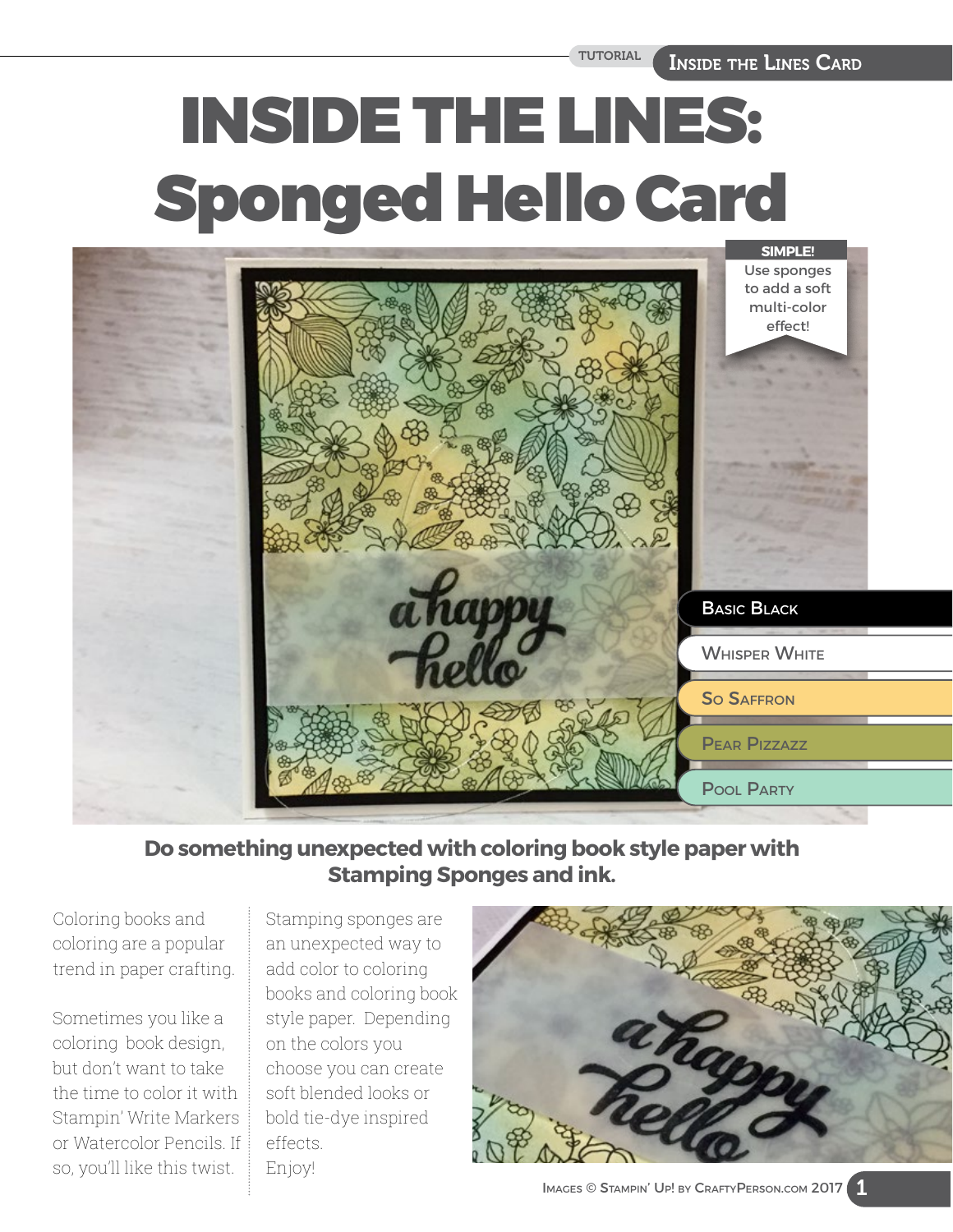# INSIDE THE LINES: Sponged Hello Card



**Do something unexpected with coloring book style paper with Stamping Sponges and ink.** 

Coloring books and coloring are a popular trend in paper crafting.

Sometimes you like a coloring book design, but don't want to take the time to color it with Stampin' Write Markers or Watercolor Pencils. If so, you'll like this twist.

Stamping sponges are an unexpected way to add color to coloring books and coloring book style paper. Depending on the colors you choose you can create soft blended looks or bold tie-dye inspired effects. Enjoy!

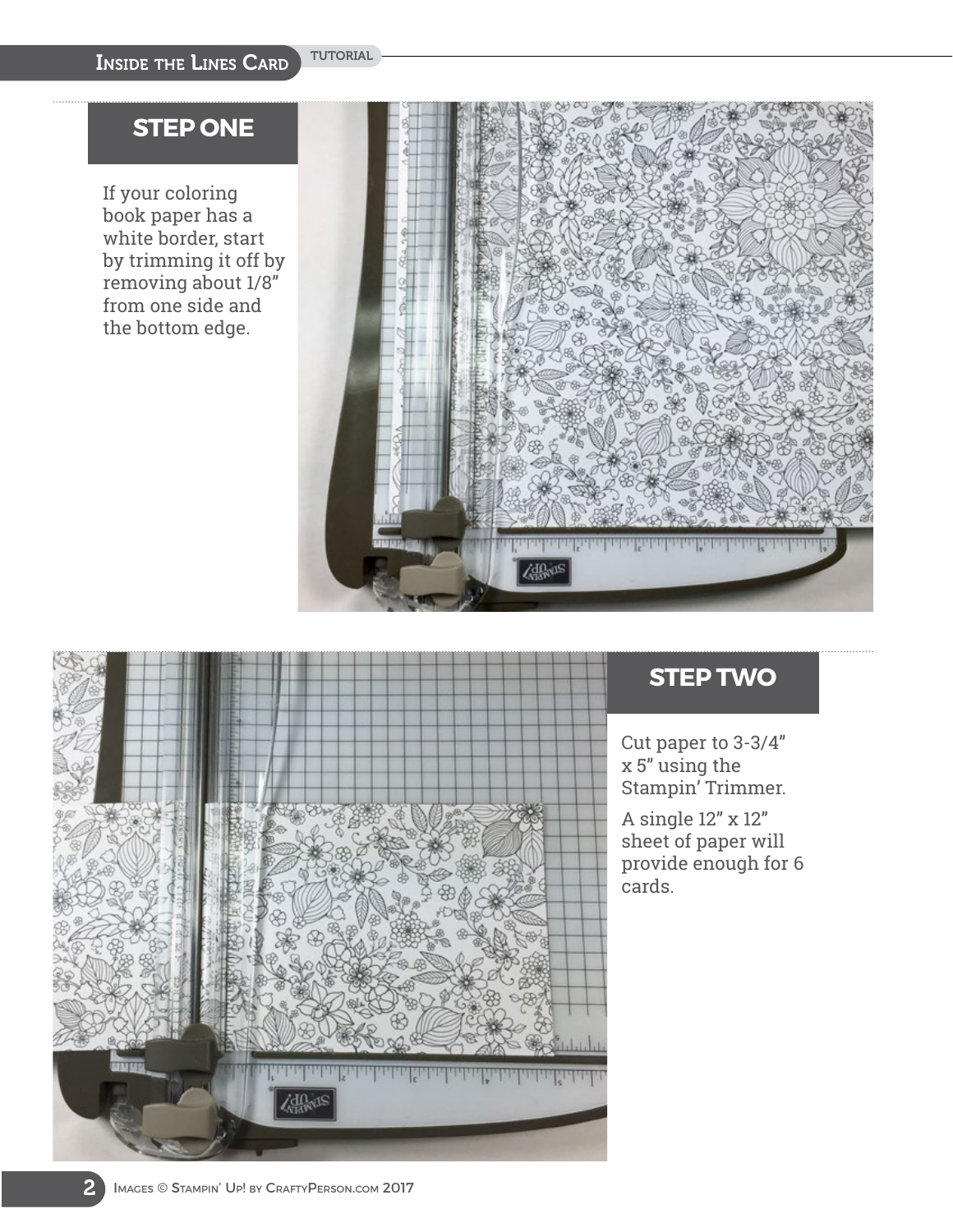## **STEP ONE**

If your coloring book paper has a white border, start by trimming it off by removing about 1/8" from one side and the bottom edge.





# **STEP TWO**

Cut paper to 3-3/4" x 5" using the Stampin' Trimmer.

A single 12" x 12" sheet of paper will provide enough for 6 cards.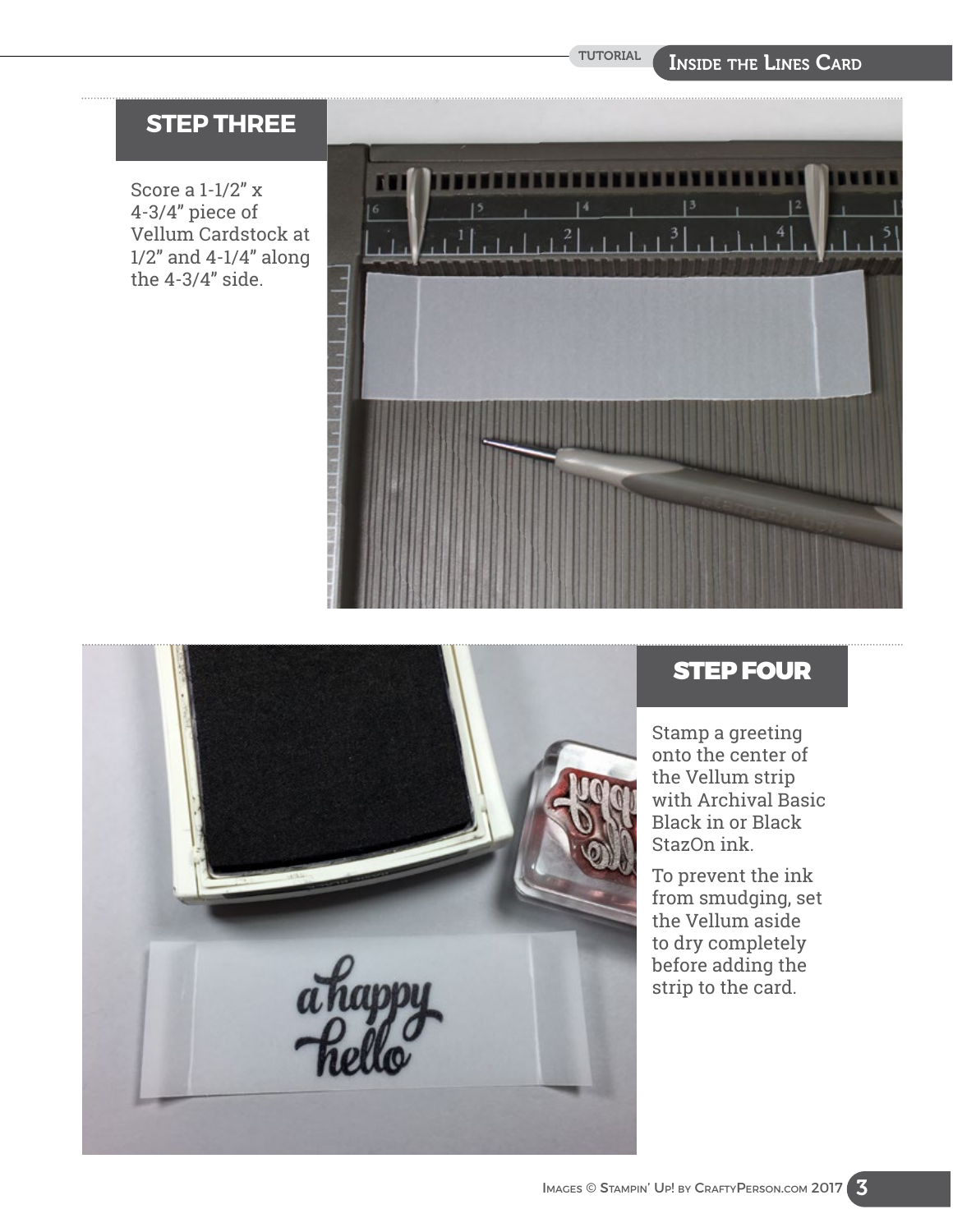#### Inside the Lines Card

# **STEP THREE**

Score a 1-1/2" x 4-3/4" piece of Vellum Cardstock at 1/2" and 4-1/4" along the 4-3/4" side.





# STEP FOUR

Stamp a greeting onto the center of the Vellum strip with Archival Basic Black in or Black StazOn ink.

To prevent the ink from smudging, set the Vellum aside to dry completely before adding the strip to the card.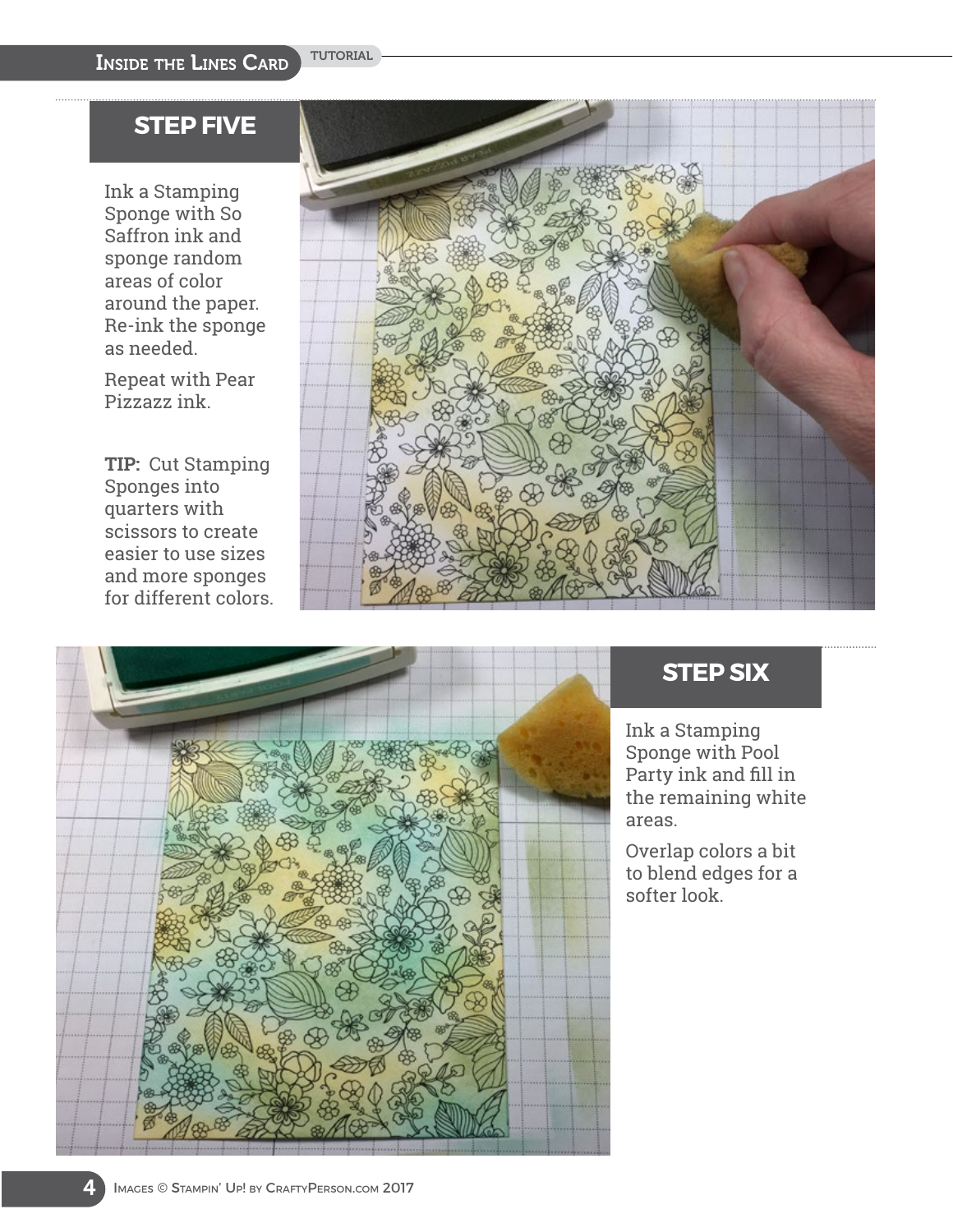# **STEP FIVE**

Ink a Stamping Sponge with So Saffron ink and sponge random areas of color around the paper. Re-ink the sponge as needed.

Repeat with Pear Pizzazz ink.

**TIP:** Cut Stamping Sponges into quarters with scissors to create easier to use sizes and more sponges for different colors.





# **STEP SIX**

Ink a Stamping Sponge with Pool Party ink and fill in the remaining white areas.

Overlap colors a bit to blend edges for a softer look.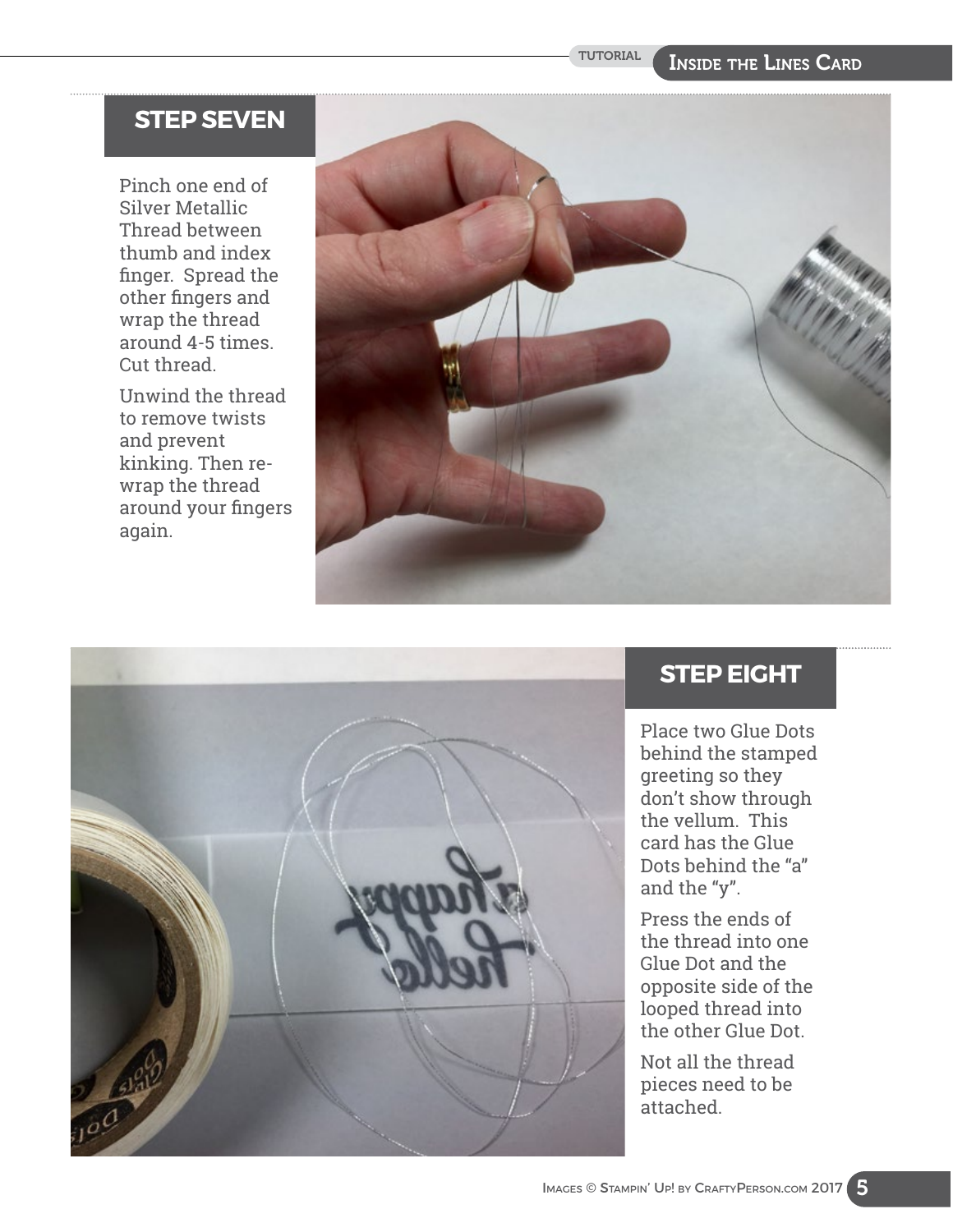### **STEP SEVEN**

Pinch one end of Silver Metallic Thread between thumb and index finger. Spread the other fingers and wrap the thread around 4-5 times. Cut thread.

Unwind the thread to remove twists and prevent kinking. Then rewrap the thread around your fingers again.





### **STEP EIGHT**

Place two Glue Dots behind the stamped greeting so they don't show through the vellum. This card has the Glue Dots behind the "a" and the "y".

Press the ends of the thread into one Glue Dot and the opposite side of the looped thread into the other Glue Dot.

Not all the thread pieces need to be attached.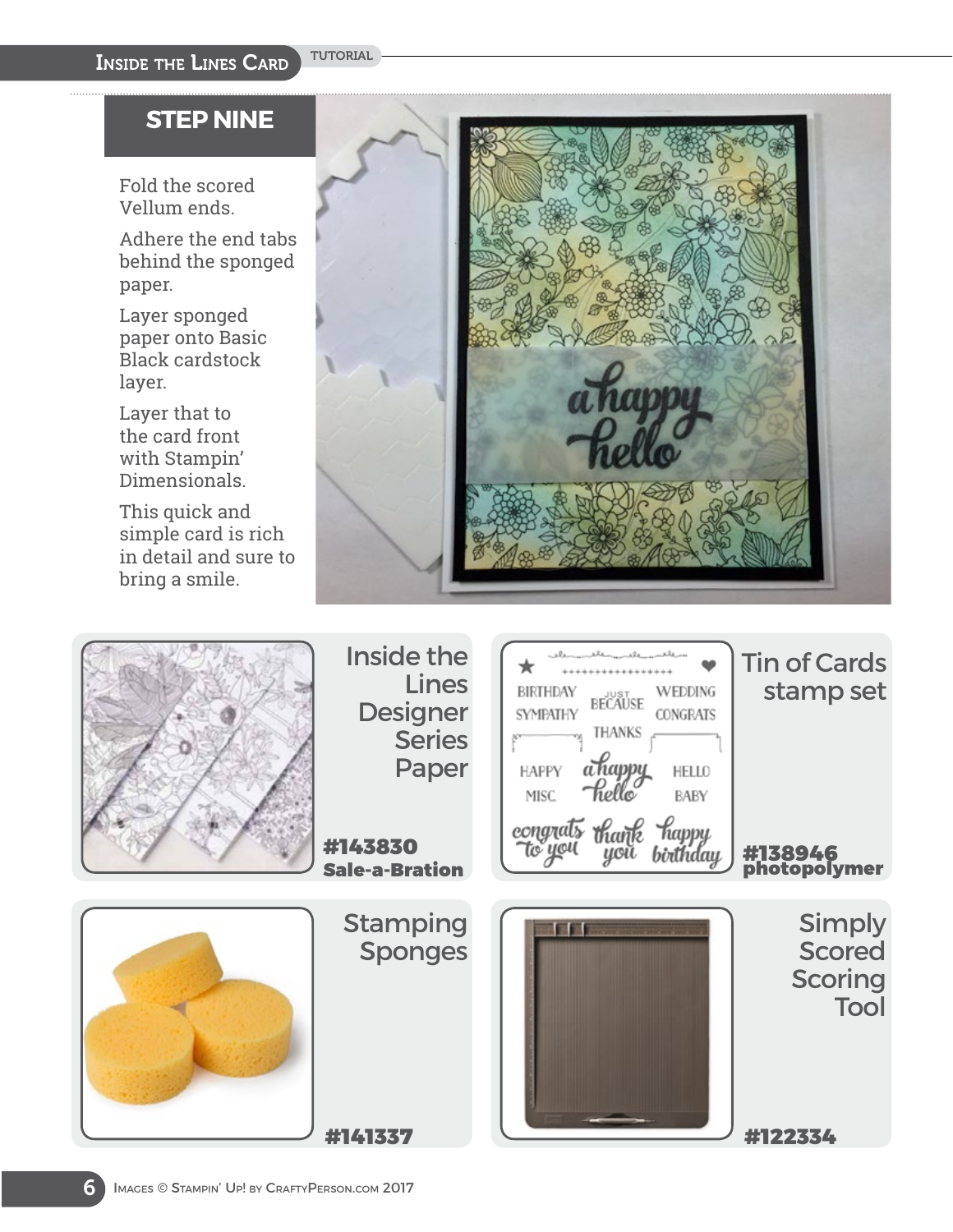#### **STEP NINE**

Fold the scored Vellum ends.

Adhere the end tabs behind the sponged paper.

Layer sponged paper onto Basic Black cardstock layer.

Layer that to the card front with Stampin' Dimensionals.

This quick and simple card is rich in detail and sure to bring a smile.